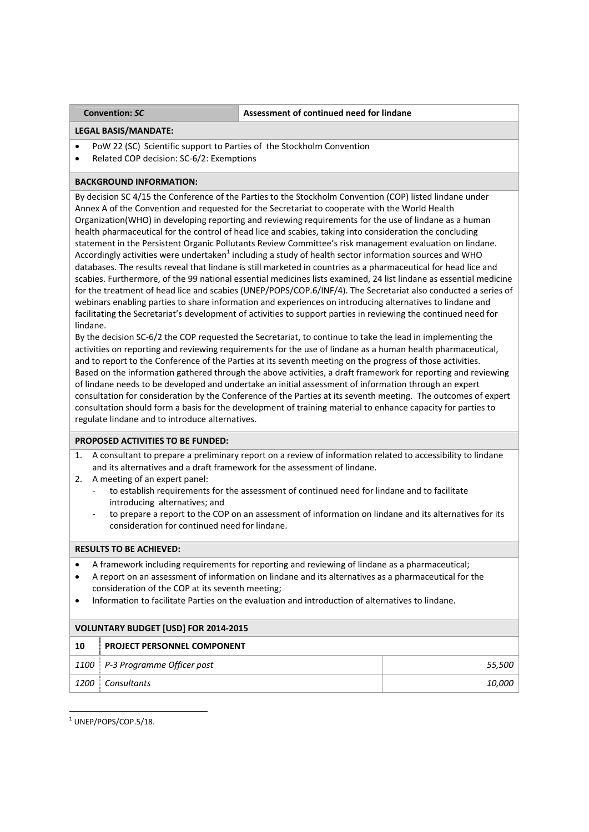## **Convention:** *SC* **Assessment of continued need for lindane**

## **LEGAL BASIS/MANDATE:**

- PoW 22 (SC) Scientific support to Parties of the Stockholm Convention
- Related COP decision: SC‐6/2: Exemptions

# **BACKGROUND INFORMATION:**

By decision SC 4/15 the Conference of the Parties to the Stockholm Convention (COP) listed lindane under Annex A of the Convention and requested for the Secretariat to cooperate with the World Health Organization(WHO) in developing reporting and reviewing requirements for the use of lindane as a human health pharmaceutical for the control of head lice and scabies, taking into consideration the concluding statement in the Persistent Organic Pollutants Review Committee's risk management evaluation on lindane. Accordingly activities were undertaken<sup>1</sup> including a study of health sector information sources and WHO databases. The results reveal that lindane is still marketed in countries as a pharmaceutical for head lice and scabies. Furthermore, of the 99 national essential medicines lists examined, 24 list lindane as essential medicine for the treatment of head lice and scabies (UNEP/POPS/COP.6/INF/4). The Secretariat also conducted a series of webinars enabling parties to share information and experiences on introducing alternatives to lindane and facilitating the Secretariat's development of activities to support parties in reviewing the continued need for lindane.

By the decision SC‐6/2 the COP requested the Secretariat, to continue to take the lead in implementing the activities on reporting and reviewing requirements for the use of lindane as a human health pharmaceutical, and to report to the Conference of the Parties at its seventh meeting on the progress of those activities. Based on the information gathered through the above activities, a draft framework for reporting and reviewing of lindane needs to be developed and undertake an initial assessment of information through an expert consultation for consideration by the Conference of the Parties at its seventh meeting. The outcomes of expert consultation should form a basis for the development of training material to enhance capacity for parties to regulate lindane and to introduce alternatives.

## **PROPOSED ACTIVITIES TO BE FUNDED:**

- 1. A consultant to prepare a preliminary report on a review of information related to accessibility to lindane and its alternatives and a draft framework for the assessment of lindane.
- 2. A meeting of an expert panel:
	- to establish requirements for the assessment of continued need for lindane and to facilitate introducing alternatives; and
	- to prepare a report to the COP on an assessment of information on lindane and its alternatives for its consideration for continued need for lindane.

## **RESULTS TO BE ACHIEVED:**

- A framework including requirements for reporting and reviewing of lindane as a pharmaceutical;
- A report on an assessment of information on lindane and its alternatives as a pharmaceutical for the consideration of the COP at its seventh meeting;
- Information to facilitate Parties on the evaluation and introduction of alternatives to lindane.

| <b>VOLUNTARY BUDGET [USD] FOR 2014-2015</b> |                                    |        |  |
|---------------------------------------------|------------------------------------|--------|--|
| 10                                          | <b>PROJECT PERSONNEL COMPONENT</b> |        |  |
|                                             | 1100 P-3 Programme Officer post    | 55,500 |  |
| 1200                                        | Consultants                        | 10,000 |  |

 <sup>1</sup> UNEP/POPS/COP.5/18.